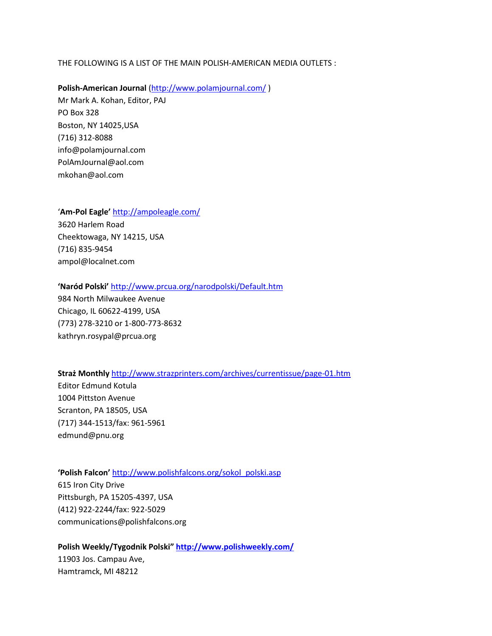#### THE FOLLOWING IS A LIST OF THE MAIN POLISH-AMERICAN MEDIA OUTLETS :

**Polish-American Journal** [\(http://www.polamjournal.com/](http://www.polamjournal.com/) ) Mr Mark A. Kohan, Editor, PAJ PO Box 328 Boston, NY 14025,USA (716) 312-8088 info@polamjournal.com PolAmJournal@aol.com mkohan@aol.com

'**Am-Pol Eagle'** <http://ampoleagle.com/>

3620 Harlem Road Cheektowaga, NY 14215, USA (716) 835-9454 ampol@localnet.com

#### **'Naród Polski'** <http://www.prcua.org/narodpolski/Default.htm>

984 North Milwaukee Avenue Chicago, IL 60622-4199, USA (773) 278-3210 or 1-800-773-8632 kathryn.rosypal@prcua.org

**Straż Monthly** <http://www.strazprinters.com/archives/currentissue/page-01.htm> Editor Edmund Kotula

1004 Pittston Avenue Scranton, PA 18505, USA (717) 344-1513/fax: 961-5961 edmund@pnu.org

# **'Polish Falcon'** [http://www.polishfalcons.org/sokol\\_polski.asp](http://www.polishfalcons.org/sokol_polski.asp) 615 Iron City Drive Pittsburgh, PA 15205-4397, USA (412) 922-2244/fax: 922-5029 communications@polishfalcons.org

**Polish Weekly/Tygodnik Polski" <http://www.polishweekly.com/>** 11903 Jos. Campau Ave, Hamtramck, MI 48212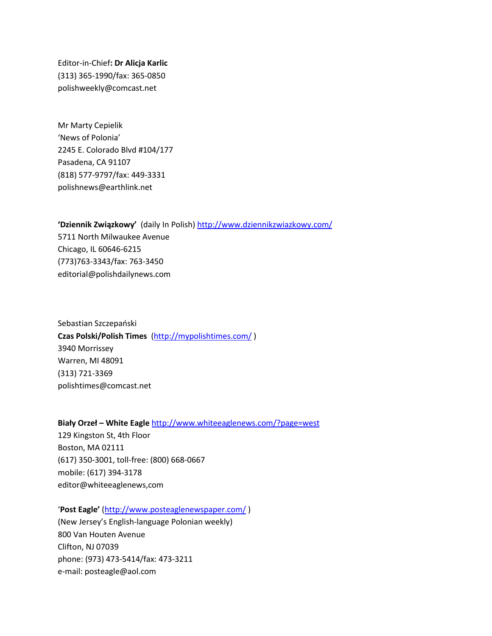Editor-in-Chief**: Dr Alicja Karlic** (313) 365-1990/fax: 365-0850 polishweekly@comcast.net

Mr Marty Cepielik 'News of Polonia' 2245 E. Colorado Blvd #104/177 Pasadena, CA 91107 (818) 577-9797/fax: 449-3331 polishnews@earthlink.net

**'Dziennik Związkowy'** (daily In Polish[\) http://www.dziennikzwiazkowy.com/](http://www.dziennikzwiazkowy.com/) 5711 North Milwaukee Avenue Chicago, IL 60646-6215 (773)763-3343/fax: 763-3450 editorial@polishdailynews.com

Sebastian Szczepański **Czas Polski/Polish Times** [\(http://mypolishtimes.com/](http://mypolishtimes.com/) ) 3940 Morrissey Warren, MI 48091 (313) 721-3369 polishtimes@comcast.net

**Biały Orzeł – White Eagle** <http://www.whiteeaglenews.com/?page=west> 129 Kingston St, 4th Floor Boston, MA 02111 (617) 350-3001, toll-free: (800) 668-0667 mobile: (617) 394-3178 editor@whiteeaglenews,com

'**Post Eagle'** [\(http://www.posteaglenewspaper.com/](http://www.posteaglenewspaper.com/) )

(New Jersey's English-language Polonian weekly) 800 Van Houten Avenue Clifton, NJ 07039 phone: (973) 473-5414/fax: 473-3211 e-mail: posteagle@aol.com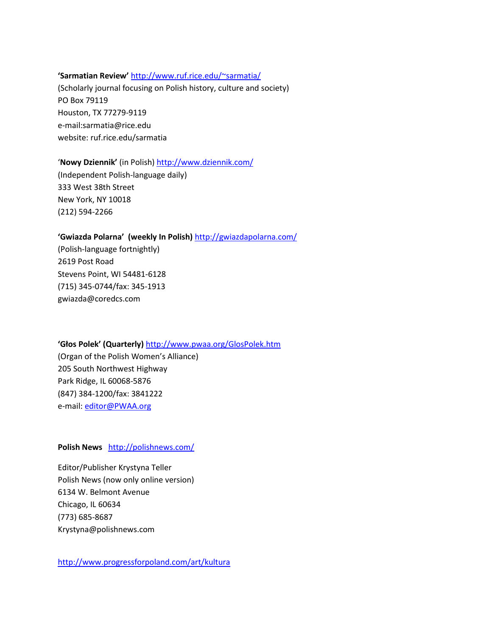### **'Sarmatian Review'** [http://www.ruf.rice.edu/~sarmatia/](http://www.ruf.rice.edu/%7Esarmatia/)

(Scholarly journal focusing on Polish history, culture and society) PO Box 79119 Houston, TX 77279-9119 e-mail:sarmatia@rice.edu website: ruf.rice.edu/sarmatia

#### '**Nowy Dziennik'** (in Polish)<http://www.dziennik.com/>

(Independent Polish-language daily) 333 West 38th Street New York, NY 10018 (212) 594-2266

# **'Gwiazda Polarna' (weekly In Polish)** <http://gwiazdapolarna.com/>

(Polish-language fortnightly) 2619 Post Road Stevens Point, WI 54481-6128 (715) 345-0744/fax: 345-1913 gwiazda@coredcs.com

# **'Głos Polek' (Quarterly)** <http://www.pwaa.org/GlosPolek.htm>

(Organ of the Polish Women's Alliance) 205 South Northwest Highway Park Ridge, IL 60068-5876 (847) 384-1200/fax: 3841222 e-mail: [editor@PWAA.org](mailto:editor@PWAA.org)

# **Polish News** <http://polishnews.com/>

Editor/Publisher Krystyna Teller Polish News (now only online version) 6134 W. Belmont Avenue Chicago, IL 60634 (773) 685-8687 Krystyna@polishnews.com

<http://www.progressforpoland.com/art/kultura>